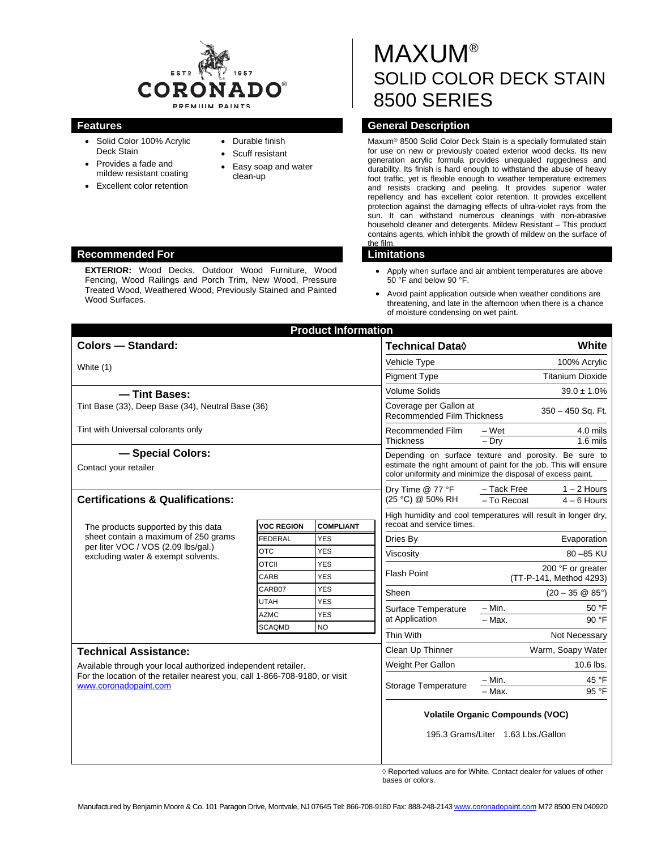

- Solid Color 100% Acrylic Deck Stain
- Provides a fade and
- mildew resistant coating • Excellent color retention
- Durable finish
- Scuff resistant
- Easy soap and water clean-up

# **MAXUM®** SOLID COLOR DECK STAIN 8500 SERIES

## **Features General Description**

Maxum® 8500 Solid Color Deck Stain is a specially formulated stain for use on new or previously coated exterior wood decks. Its new generation acrylic formula provides unequaled ruggedness and durability. Its finish is hard enough to withstand the abuse of heavy foot traffic, yet is flexible enough to weather temperature extremes and resists cracking and peeling. It provides superior water repellency and has excellent color retention. It provides excellent protection against the damaging effects of ultra-violet rays from the sun. It can withstand numerous cleanings with non-abrasive household cleaner and detergents. Mildew Resistant - This product contains agents, which inhibit the growth of mildew on the surface of the film.

- Apply when surface and air ambient temperatures are above 50 °F and below 90 °F.
- Avoid paint application outside when weather conditions are threatening, and late in the afternoon when there is a chance of moisture condensing on wet paint.

|                                                                                                                   |                            | <b>Product Information</b> |                                                                                                                                                                                          |                                                              |
|-------------------------------------------------------------------------------------------------------------------|----------------------------|----------------------------|------------------------------------------------------------------------------------------------------------------------------------------------------------------------------------------|--------------------------------------------------------------|
| <b>Colors - Standard:</b>                                                                                         |                            |                            | <b>Technical Data</b> ♦                                                                                                                                                                  | <b>White</b>                                                 |
| White (1)                                                                                                         |                            |                            | Vehicle Type                                                                                                                                                                             | 100% Acrylic                                                 |
|                                                                                                                   |                            |                            | <b>Pigment Type</b>                                                                                                                                                                      | <b>Titanium Dioxide</b>                                      |
| - Tint Bases:                                                                                                     |                            | <b>Volume Solids</b>       | $39.0 \pm 1.0\%$                                                                                                                                                                         |                                                              |
| Tint Base (33), Deep Base (34), Neutral Base (36)                                                                 |                            |                            | Coverage per Gallon at<br>350 - 450 Sq. Ft.<br><b>Recommended Film Thickness</b>                                                                                                         |                                                              |
| Tint with Universal colorants only                                                                                |                            |                            | Recommended Film<br><b>Thickness</b>                                                                                                                                                     | – Wet<br>4.0 mils<br>$-$ Drv<br>$1.6$ mils                   |
| - Special Colors:<br>Contact your retailer                                                                        |                            |                            | Depending on surface texture and porosity. Be sure to<br>estimate the right amount of paint for the job. This will ensure<br>color uniformity and minimize the disposal of excess paint. |                                                              |
| <b>Certifications &amp; Qualifications:</b>                                                                       |                            |                            | Dry Time @ 77 °F<br>(25 °C) @ 50% RH                                                                                                                                                     | - Tack Free<br>$1 - 2$ Hours<br>- To Recoat<br>$4 - 6$ Hours |
| The products supported by this data                                                                               | <b>VOC REGION</b>          | <b>COMPLIANT</b>           | High humidity and cool temperatures will result in longer dry,<br>recoat and service times.                                                                                              |                                                              |
| sheet contain a maximum of 250 grams<br>per liter VOC / VOS (2.09 lbs/gal.)<br>excluding water & exempt solvents. | <b>FEDERAL</b>             | <b>YES</b>                 | Dries By                                                                                                                                                                                 | Evaporation                                                  |
|                                                                                                                   | <b>OTC</b>                 | <b>YES</b>                 | Viscosity                                                                                                                                                                                | 80 - 85 KU                                                   |
|                                                                                                                   | <b>OTCII</b>               | <b>YES</b>                 | Flash Point                                                                                                                                                                              | 200 °F or greater                                            |
|                                                                                                                   | CARB                       | <b>YES</b>                 |                                                                                                                                                                                          | (TT-P-141, Method 4293)                                      |
|                                                                                                                   | CARB07                     | <b>YES</b>                 | Sheen                                                                                                                                                                                    | $(20 - 35 \circledR 85^{\circ})$                             |
|                                                                                                                   | <b>UTAH</b><br><b>AZMC</b> | <b>YES</b><br><b>YES</b>   | Surface Temperature<br>at Application                                                                                                                                                    | $- Min.$<br>50 °F                                            |
|                                                                                                                   | <b>SCAQMD</b>              | <b>NO</b>                  |                                                                                                                                                                                          | $-Max$ .<br>90 °F                                            |
|                                                                                                                   |                            |                            | Thin With                                                                                                                                                                                | Not Necessary                                                |
| <b>Technical Assistance:</b>                                                                                      | Clean Up Thinner           | Warm, Soapy Water          |                                                                                                                                                                                          |                                                              |
| Available through your local authorized independent retailer.                                                     |                            |                            | Weight Per Gallon                                                                                                                                                                        | 10.6 lbs.                                                    |
| For the location of the retailer nearest you, call 1-866-708-9180, or visit<br>www.coronadopaint.com              |                            |                            | Storage Temperature                                                                                                                                                                      | $- Min.$<br>45 °F<br>$95 \overline{°F}$<br>$-Max$ .          |
|                                                                                                                   |                            |                            | <b>Volatile Organic Compounds (VOC)</b><br>195.3 Grams/Liter 1.63 Lbs./Gallon                                                                                                            |                                                              |
|                                                                                                                   |                            |                            |                                                                                                                                                                                          |                                                              |

◊ Reported values are for White. Contact dealer for values of other bases or colors.

#### **Recommended For Limitations**

**EXTERIOR:** Wood Decks, Outdoor Wood Furniture, Wood Fencing, Wood Railings and Porch Trim, New Wood, Pressure Treated Wood, Weathered Wood, Previously Stained and Painted Wood Surfaces.